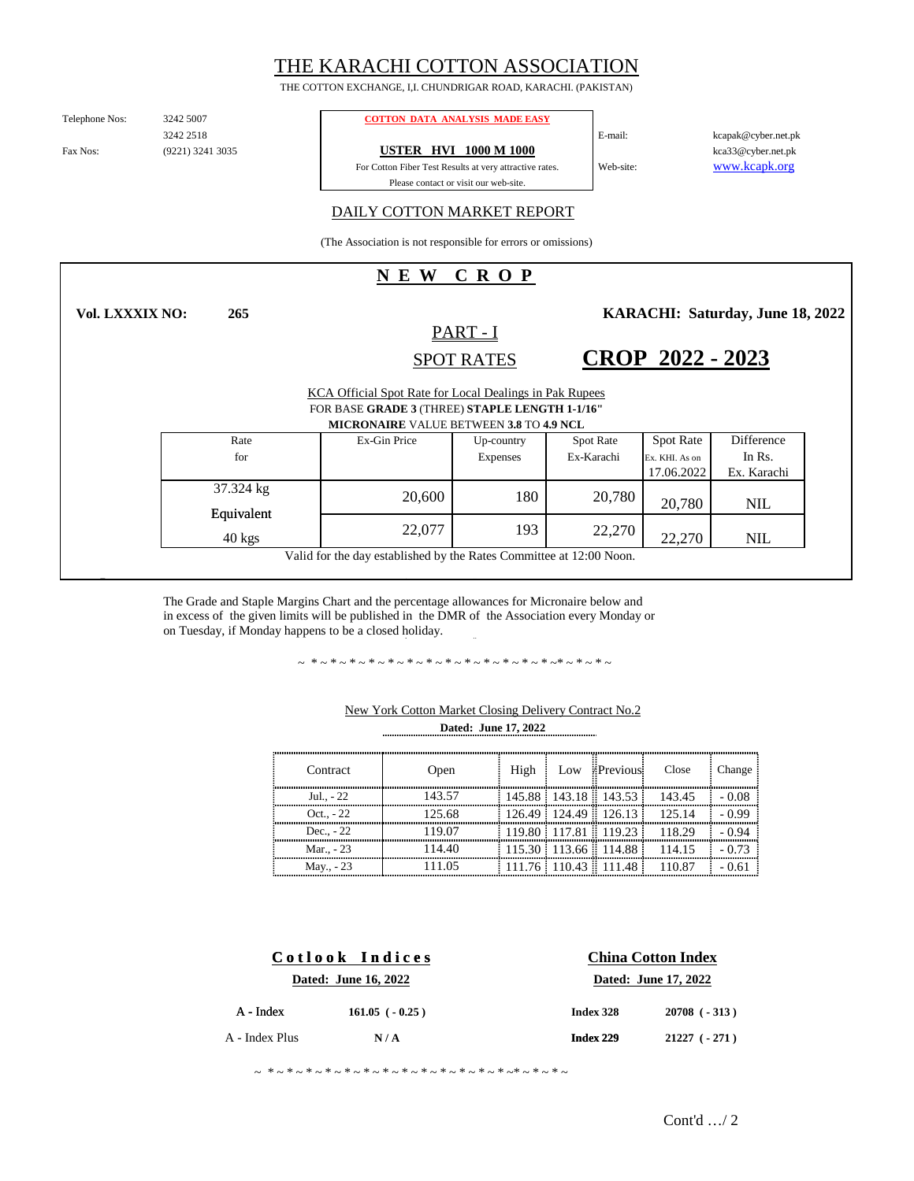# THE KARACHI COTTON ASSOCIATION

THE COTTON EXCHANGE, I,I. CHUNDRIGAR ROAD, KARACHI. (PAKISTAN)

Telephone Nos:

(9221) 3241 3035 3242 2518

**265**

#### 3242 5007 **COTTON DATA ANALYSIS MADE EASY**

Fax Nos: (9221) 3241 3035 **USTER HVI 1000 M 1000** 

Please contact or visit our web-site. For Cotton Fiber Test Results at very attractive rates.

www.kcapk.org kca33@cyber.net.pk kcapak@cyber.net.pk

## DAILY COTTON MARKET REPORT

(The Association is not responsible for errors or omissions)

# **N E W C R O P**

**Vol. LXXXIX NO:**

PART - I SPOT RATES **KARACHI: Saturday, June 18, 2022** 

**CROP 2022 - 2023**

Web-site:

E-mail:

|                                                                     | KCA Official Spot Rate for Local Dealings in Pak Rupees<br>FOR BASE GRADE 3 (THREE) STAPLE LENGTH 1-1/16"<br><b>MICRONAIRE VALUE BETWEEN 3.8 TO 4.9 NCL</b> |                        |                                |                                                  |                                     |  |
|---------------------------------------------------------------------|-------------------------------------------------------------------------------------------------------------------------------------------------------------|------------------------|--------------------------------|--------------------------------------------------|-------------------------------------|--|
| Rate<br>for                                                         | Ex-Gin Price                                                                                                                                                | Up-country<br>Expenses | <b>Spot Rate</b><br>Ex-Karachi | <b>Spot Rate</b><br>Ex. KHI. As on<br>17.06.2022 | Difference<br>In Rs.<br>Ex. Karachi |  |
| 37.324 kg<br>Equivalent                                             | 20,600                                                                                                                                                      | 180                    | 20,780                         | 20,780                                           | <b>NIL</b>                          |  |
| $40 \text{ kgs}$                                                    | 22,077                                                                                                                                                      | 193                    | 22,270                         | 22,270                                           | <b>NIL</b>                          |  |
| Valid for the day established by the Rates Committee at 12:00 Noon. |                                                                                                                                                             |                        |                                |                                                  |                                     |  |

The Grade and Staple Margins Chart and the percentage allowances for Micronaire below and in excess of the given limits will be published in the DMR of the Association every Monday or on Tuesday, if Monday happens to be a closed holiday.

~ \*~\*~\*~\*~\*~\*~\*~\*~\*~\*~\*~\*~\*~\*~\*~\*~

| Contract     | Open   | High | Low Previous                   | Close                               | Change |
|--------------|--------|------|--------------------------------|-------------------------------------|--------|
| Jul - 22     | 143.57 |      |                                | $145.88$ 143.18 143.53 143.45       |        |
| Oct. $. -22$ | 125.68 |      |                                | $126.49$ 124.49 126.13 125.14       | - 0.99 |
| Dec. $-22$   | 119.07 |      |                                | $119.80$ $117.81$ $119.23$ $118.29$ | - 0.94 |
| Mar., - 23   | 114.40 |      |                                | $115.30$ 113.66 114.88 114.15       | - 0.73 |
| May., - 23   | 111 05 |      | $\frac{111.76}{110.43}$ 111.48 | 110.87                              |        |

## **Dated: June 17, 2022** New York Cotton Market Closing Delivery Contract No.2

| Cotlook Indices<br>Dated: June 16, 2022 |     | <b>China Cotton Index</b><br>Dated: June 17, 2022 |                |  |
|-----------------------------------------|-----|---------------------------------------------------|----------------|--|
|                                         |     |                                                   |                |  |
| A - Index Plus                          | N/A | Index 229                                         | $21227 (-271)$ |  |

~ \*~\*~\*~\*~\*~\*~\*~\*~\*~\*~\*~\*~\*~\*~\*~\*~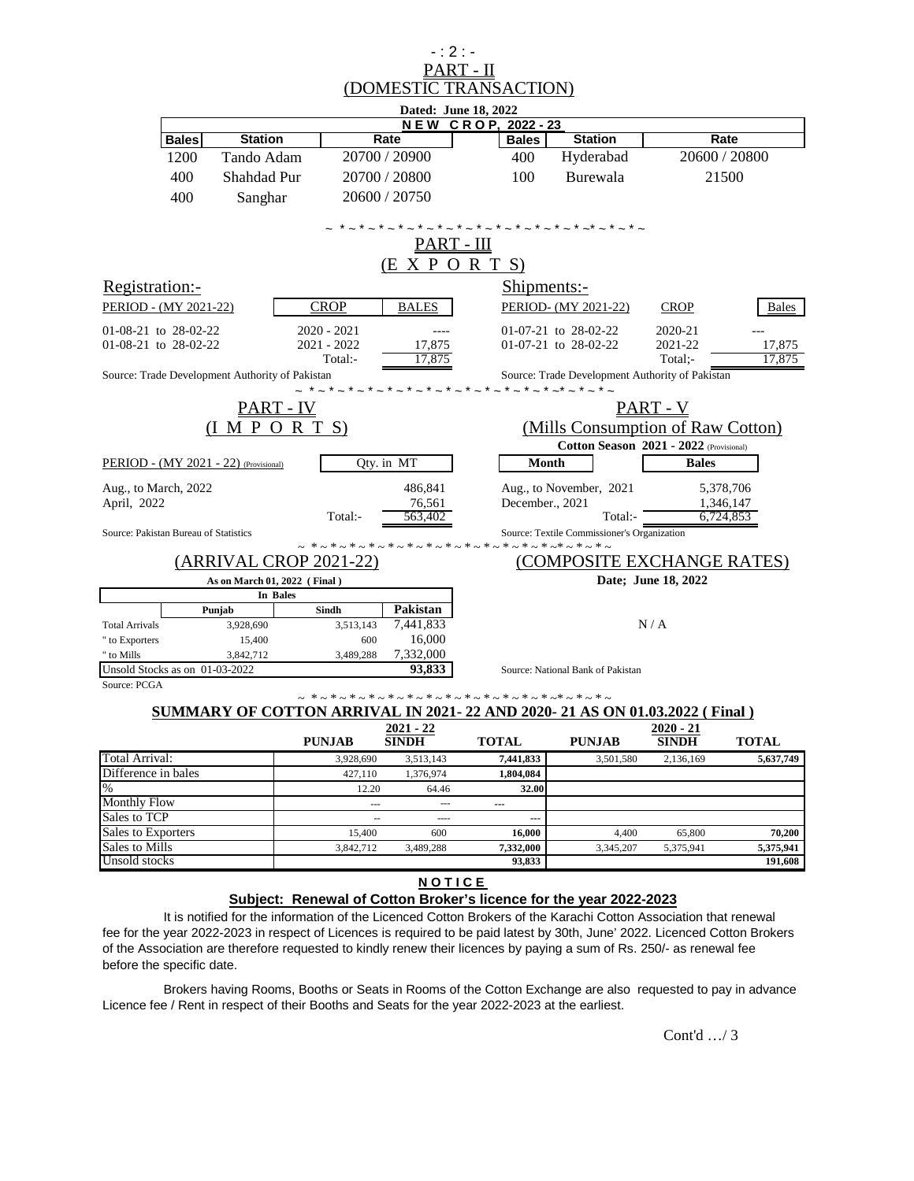| (DOMESTIC TRANSACTION)<br>Dated: June 18, 2022<br><b>NEW CROP, 2022-23</b>                                                         |                                   |  |  |
|------------------------------------------------------------------------------------------------------------------------------------|-----------------------------------|--|--|
|                                                                                                                                    |                                   |  |  |
|                                                                                                                                    |                                   |  |  |
|                                                                                                                                    |                                   |  |  |
| <b>Station</b><br>Rate<br><b>Station</b><br><b>Bales</b><br><b>Bales</b>                                                           | Rate                              |  |  |
| 1200<br>Tando Adam<br>20700 / 20900<br>Hyderabad<br>400                                                                            | 20600 / 20800                     |  |  |
| 20700 / 20800<br>Burewala<br>400<br>Shahdad Pur<br>100                                                                             | 21500                             |  |  |
| 400<br>20600 / 20750<br>Sanghar                                                                                                    |                                   |  |  |
|                                                                                                                                    |                                   |  |  |
| <u>PART - III</u>                                                                                                                  |                                   |  |  |
| X P O R T S<br>(E                                                                                                                  |                                   |  |  |
|                                                                                                                                    |                                   |  |  |
| Registration:-<br>Shipments:-                                                                                                      |                                   |  |  |
| <b>CROP</b><br>PERIOD - (MY 2021-22)<br><b>BALES</b><br>PERIOD- (MY 2021-22)<br><b>CROP</b>                                        | <b>Bales</b>                      |  |  |
| 01-08-21 to 28-02-22<br>$2020 - 2021$<br>01-07-21 to 28-02-22<br>2020-21                                                           |                                   |  |  |
| 01-08-21 to 28-02-22<br>2021 - 2022<br>17,875<br>01-07-21 to 28-02-22<br>2021-22                                                   | 17,875                            |  |  |
| Total:-<br>17,875<br>Total:-                                                                                                       | 17,875                            |  |  |
| Source: Trade Development Authority of Pakistan<br>Source: Trade Development Authority of Pakistan<br>* ~ * ~ * ~ * ~ * ~          |                                   |  |  |
| <u> PART - IV</u><br><u> PART - V</u>                                                                                              |                                   |  |  |
| (IMP O R T S)                                                                                                                      | (Mills Consumption of Raw Cotton) |  |  |
| Cotton Season 2021 - 2022 (Provisional)                                                                                            |                                   |  |  |
| Month<br><b>Bales</b><br>PERIOD - (MY 2021 - 22) (Provisional)<br>Qty. in MT                                                       |                                   |  |  |
| 486,841<br>Aug., to March, 2022<br>Aug., to November, 2021                                                                         | 5,378,706                         |  |  |
| April, 2022<br>76,561<br>December., 2021                                                                                           | 1,346,147                         |  |  |
| Total:-<br>563,402<br>Total:-                                                                                                      | 6,724,853                         |  |  |
| Source: Pakistan Bureau of Statistics<br>Source: Textile Commissioner's Organization<br>$- * - * - * - * - * - * -$                |                                   |  |  |
| (ARRIVAL CROP 2021-22<br>COMPOSITE EXCHANGE RATES)                                                                                 |                                   |  |  |
| As on March 01, 2022 (Final)                                                                                                       | Date; June 18, 2022               |  |  |
| In Bales                                                                                                                           |                                   |  |  |
| Pakistan<br>Punjab<br>Sindh                                                                                                        |                                   |  |  |
| N/A<br>3,513,143<br>7,441,833<br><b>Total Arrivals</b><br>3,928,690                                                                |                                   |  |  |
| 16,000<br>" to Exporters<br>15,400<br>600                                                                                          |                                   |  |  |
| 7,332,000<br>" to Mills<br>3,842,712<br>3.489.288<br>Unsold Stocks as on 01-03-2022<br>93,833<br>Source: National Bank of Pakistan |                                   |  |  |
| Source: PCGA                                                                                                                       |                                   |  |  |
| *ん*ん*ん*ん*ん*ん*ん*ん*ん*ん*ん*ん*ん*ん*ん                                                                                                     |                                   |  |  |
| SUMMARY OF COTTON ARRIVAL IN 2021- 22 AND 2020- 21 AS ON 01.03.2022 (Final)                                                        |                                   |  |  |
| $2021 - 22$<br>$2020 - 21$                                                                                                         |                                   |  |  |
| <b>PUNJAB</b><br><b>TOTAL</b><br><b>PUNJAB</b><br><b>SINDH</b><br><b>SINDH</b>                                                     | <b>TOTAL</b>                      |  |  |
| Total Arrival:<br>3,928,690<br>3,513,143<br>7,441,833<br>3,501,580<br>2,136,169<br>Difference in bales                             | 5,637,749                         |  |  |
| 1,376,974<br>1,804,084<br>427,110<br>$\%$<br>12.20<br>32.00<br>64.46                                                               |                                   |  |  |
| <b>Monthly Flow</b><br>$\overline{\phantom{a}}$<br>---<br>---                                                                      |                                   |  |  |
| Sales to TCP<br>$\bar{\phantom{a}}$<br>----<br>---                                                                                 |                                   |  |  |
| Sales to Exporters<br>4,400<br>15,400<br>600<br>16,000<br>65,800                                                                   | 70,200                            |  |  |
| Sales to Mills<br>3,489,288<br>3,842,712<br>7,332,000<br>3,345,207<br>5,375,941                                                    | 5,375,941                         |  |  |
| Unsold stocks<br>93,833                                                                                                            | 191,608                           |  |  |

 $-$  : 2 :  $-$ 

### **N O T I C E**

## **Subject: Renewal of Cotton Broker's licence for the year 2022-2023**

It is notified for the information of the Licenced Cotton Brokers of the Karachi Cotton Association that renewal fee for the year 2022-2023 in respect of Licences is required to be paid latest by 30th, June' 2022. Licenced Cotton Brokers of the Association are therefore requested to kindly renew their licences by paying a sum of Rs. 250/- as renewal fee before the specific date.

Brokers having Rooms, Booths or Seats in Rooms of the Cotton Exchange are also requested to pay in advance Licence fee / Rent in respect of their Booths and Seats for the year 2022-2023 at the earliest.